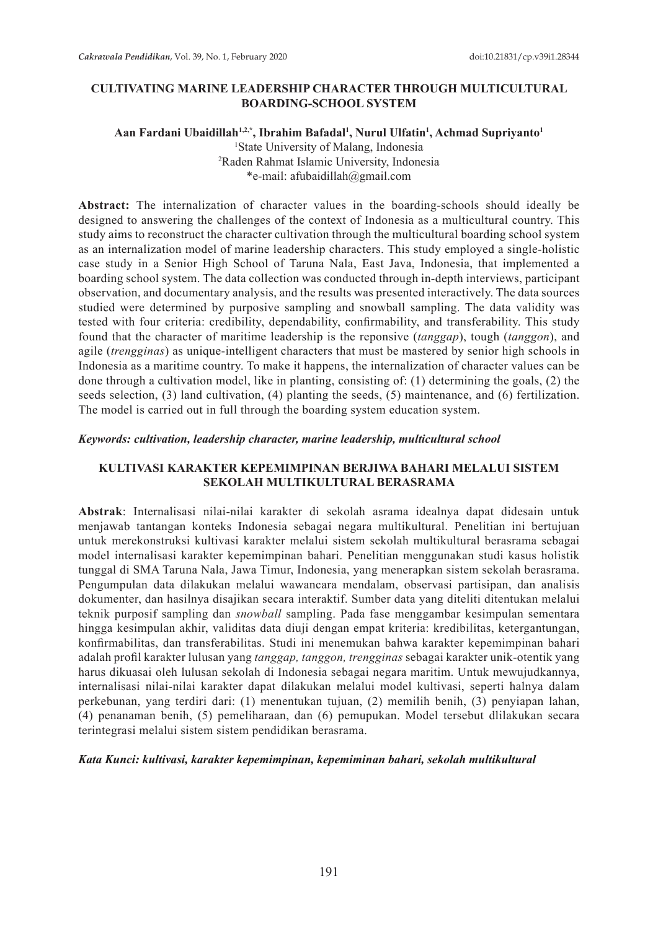## **CULTIVATING MARINE LEADERSHIP CHARACTER THROUGH MULTICULTURAL BOARDING-SCHOOL SYSTEM**

## **Aan Fardani Ubaidillah1,2,\*, Ibrahim Bafadal1 , Nurul Ulfatin1 , Achmad Supriyanto1** 1 State University of Malang, Indonesia 2 Raden Rahmat Islamic University, Indonesia \*e-mail: afubaidillah@gmail.com

**Abstract:** The internalization of character values in the boarding-schools should ideally be designed to answering the challenges of the context of Indonesia as a multicultural country. This study aims to reconstruct the character cultivation through the multicultural boarding school system as an internalization model of marine leadership characters. This study employed a single-holistic case study in a Senior High School of Taruna Nala, East Java, Indonesia, that implemented a boarding school system. The data collection was conducted through in-depth interviews, participant observation, and documentary analysis, and the results was presented interactively. The data sources studied were determined by purposive sampling and snowball sampling. The data validity was tested with four criteria: credibility, dependability, confirmability, and transferability. This study found that the character of maritime leadership is the reponsive (*tanggap*), tough (*tanggon*), and agile (*trengginas*) as unique-intelligent characters that must be mastered by senior high schools in Indonesia as a maritime country. To make it happens, the internalization of character values can be done through a cultivation model, like in planting, consisting of: (1) determining the goals, (2) the seeds selection, (3) land cultivation, (4) planting the seeds, (5) maintenance, and (6) fertilization. The model is carried out in full through the boarding system education system.

### *Keywords: cultivation, leadership character, marine leadership, multicultural school*

## **KULTIVASI KARAKTER KEPEMIMPINAN BERJIWA BAHARI MELALUI SISTEM SEKOLAH MULTIKULTURAL BERASRAMA**

**Abstrak**: Internalisasi nilai-nilai karakter di sekolah asrama idealnya dapat didesain untuk menjawab tantangan konteks Indonesia sebagai negara multikultural. Penelitian ini bertujuan untuk merekonstruksi kultivasi karakter melalui sistem sekolah multikultural berasrama sebagai model internalisasi karakter kepemimpinan bahari. Penelitian menggunakan studi kasus holistik tunggal di SMA Taruna Nala, Jawa Timur, Indonesia, yang menerapkan sistem sekolah berasrama. Pengumpulan data dilakukan melalui wawancara mendalam, observasi partisipan, dan analisis dokumenter, dan hasilnya disajikan secara interaktif. Sumber data yang diteliti ditentukan melalui teknik purposif sampling dan *snowball* sampling. Pada fase menggambar kesimpulan sementara hingga kesimpulan akhir, validitas data diuji dengan empat kriteria: kredibilitas, ketergantungan, konfirmabilitas, dan transferabilitas. Studi ini menemukan bahwa karakter kepemimpinan bahari adalah profil karakter lulusan yang *tanggap, tanggon, trengginas* sebagai karakter unik-otentik yang harus dikuasai oleh lulusan sekolah di Indonesia sebagai negara maritim. Untuk mewujudkannya, internalisasi nilai-nilai karakter dapat dilakukan melalui model kultivasi, seperti halnya dalam perkebunan, yang terdiri dari: (1) menentukan tujuan, (2) memilih benih, (3) penyiapan lahan, (4) penanaman benih, (5) pemeliharaan, dan (6) pemupukan. Model tersebut dlilakukan secara terintegrasi melalui sistem sistem pendidikan berasrama.

## *Kata Kunci: kultivasi, karakter kepemimpinan, kepemiminan bahari, sekolah multikultural*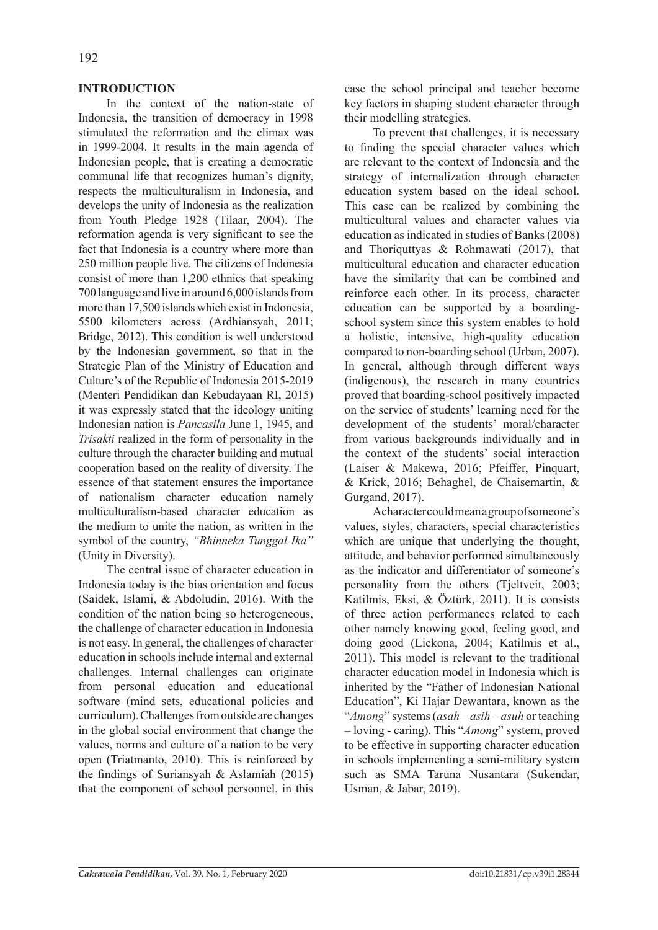## **INTRODUCTION**

In the context of the nation-state of Indonesia, the transition of democracy in 1998 stimulated the reformation and the climax was in 1999-2004. It results in the main agenda of Indonesian people, that is creating a democratic communal life that recognizes human's dignity, respects the multiculturalism in Indonesia, and develops the unity of Indonesia as the realization from Youth Pledge 1928 (Tilaar, 2004). The reformation agenda is very significant to see the fact that Indonesia is a country where more than 250 million people live. The citizens of Indonesia consist of more than 1,200 ethnics that speaking 700 language and live in around 6,000 islands from more than 17,500 islands which exist in Indonesia, 5500 kilometers across (Ardhiansyah, 2011; Bridge, 2012). This condition is well understood by the Indonesian government, so that in the Strategic Plan of the Ministry of Education and Culture's of the Republic of Indonesia 2015-2019 (Menteri Pendidikan dan Kebudayaan RI, 2015) it was expressly stated that the ideology uniting Indonesian nation is *Pancasila* June 1, 1945, and *Trisakti* realized in the form of personality in the culture through the character building and mutual cooperation based on the reality of diversity. The essence of that statement ensures the importance of nationalism character education namely multiculturalism-based character education as the medium to unite the nation, as written in the symbol of the country, *"Bhinneka Tunggal Ika"* (Unity in Diversity).

The central issue of character education in Indonesia today is the bias orientation and focus (Saidek, Islami, & Abdoludin, 2016). With the condition of the nation being so heterogeneous, the challenge of character education in Indonesia is not easy. In general, the challenges of character education in schools include internal and external challenges. Internal challenges can originate from personal education and educational software (mind sets, educational policies and curriculum). Challenges from outside are changes in the global social environment that change the values, norms and culture of a nation to be very open (Triatmanto, 2010). This is reinforced by the findings of Suriansyah & Aslamiah (2015) that the component of school personnel, in this case the school principal and teacher become key factors in shaping student character through their modelling strategies.

To prevent that challenges, it is necessary to finding the special character values which are relevant to the context of Indonesia and the strategy of internalization through character education system based on the ideal school. This case can be realized by combining the multicultural values and character values via education as indicated in studies of Banks (2008) and Thoriquttyas & Rohmawati (2017), that multicultural education and character education have the similarity that can be combined and reinforce each other. In its process, character education can be supported by a boardingschool system since this system enables to hold a holistic, intensive, high-quality education compared to non-boarding school (Urban, 2007). In general, although through different ways (indigenous), the research in many countries proved that boarding-school positively impacted on the service of students' learning need for the development of the students' moral/character from various backgrounds individually and in the context of the students' social interaction (Laiser & Makewa, 2016; Pfeiffer, Pinquart, & Krick, 2016; Behaghel, de Chaisemartin, & Gurgand, 2017).

A character could mean a group of someone's values, styles, characters, special characteristics which are unique that underlying the thought, attitude, and behavior performed simultaneously as the indicator and differentiator of someone's personality from the others (Tjeltveit, 2003; Katilmis, Eksi, & Öztürk, 2011). It is consists of three action performances related to each other namely knowing good, feeling good, and doing good (Lickona, 2004; Katilmis et al., 2011). This model is relevant to the traditional character education model in Indonesia which is inherited by the "Father of Indonesian National Education", Ki Hajar Dewantara, known as the "*Among*" systems (*asah – asih – asuh* or teaching – loving - caring). This "*Among*" system, proved to be effective in supporting character education in schools implementing a semi-military system such as SMA Taruna Nusantara (Sukendar, Usman, & Jabar, 2019).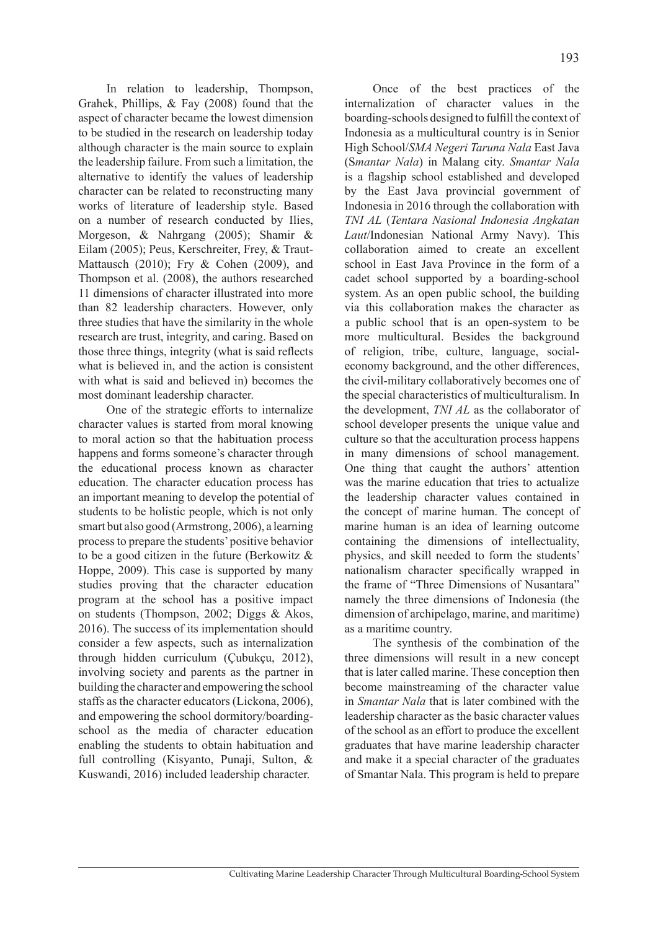In relation to leadership, Thompson, Grahek, Phillips, & Fay (2008) found that the aspect of character became the lowest dimension to be studied in the research on leadership today although character is the main source to explain the leadership failure. From such a limitation, the alternative to identify the values of leadership character can be related to reconstructing many works of literature of leadership style. Based on a number of research conducted by Ilies, Morgeson, & Nahrgang (2005); Shamir & Eilam (2005); Peus, Kerschreiter, Frey, & Traut-Mattausch (2010); Fry & Cohen (2009), and Thompson et al. (2008), the authors researched 11 dimensions of character illustrated into more than 82 leadership characters. However, only three studies that have the similarity in the whole research are trust, integrity, and caring. Based on those three things, integrity (what is said reflects what is believed in, and the action is consistent with what is said and believed in) becomes the most dominant leadership character.

One of the strategic efforts to internalize character values is started from moral knowing to moral action so that the habituation process happens and forms someone's character through the educational process known as character education. The character education process has an important meaning to develop the potential of students to be holistic people, which is not only smart but also good (Armstrong, 2006), a learning process to prepare the students' positive behavior to be a good citizen in the future (Berkowitz & Hoppe, 2009). This case is supported by many studies proving that the character education program at the school has a positive impact on students (Thompson, 2002; Diggs & Akos, 2016). The success of its implementation should consider a few aspects, such as internalization through hidden curriculum (Çubukçu, 2012), involving society and parents as the partner in building the character and empowering the school staffs as the character educators (Lickona, 2006), and empowering the school dormitory/boardingschool as the media of character education enabling the students to obtain habituation and full controlling (Kisyanto, Punaji, Sulton, & Kuswandi, 2016) included leadership character.

Once of the best practices of the internalization of character values in the boarding-schools designed to fulfill the context of Indonesia as a multicultural country is in Senior High School/*SMA Negeri Taruna Nala* East Java (S*mantar Nala*) in Malang city. *Smantar Nala* is a flagship school established and developed by the East Java provincial government of Indonesia in 2016 through the collaboration with *TNI AL* (*Tentara Nasional Indonesia Angkatan Laut*/Indonesian National Army Navy). This collaboration aimed to create an excellent school in East Java Province in the form of a cadet school supported by a boarding-school system. As an open public school, the building via this collaboration makes the character as a public school that is an open-system to be more multicultural. Besides the background of religion, tribe, culture, language, socialeconomy background, and the other differences, the civil-military collaboratively becomes one of the special characteristics of multiculturalism. In the development, *TNI AL* as the collaborator of school developer presents the unique value and culture so that the acculturation process happens in many dimensions of school management. One thing that caught the authors' attention was the marine education that tries to actualize the leadership character values contained in the concept of marine human. The concept of marine human is an idea of learning outcome containing the dimensions of intellectuality, physics, and skill needed to form the students' nationalism character specifically wrapped in the frame of "Three Dimensions of Nusantara" namely the three dimensions of Indonesia (the dimension of archipelago, marine, and maritime) as a maritime country.

The synthesis of the combination of the three dimensions will result in a new concept that is later called marine. These conception then become mainstreaming of the character value in *Smantar Nala* that is later combined with the leadership character as the basic character values of the school as an effort to produce the excellent graduates that have marine leadership character and make it a special character of the graduates of Smantar Nala. This program is held to prepare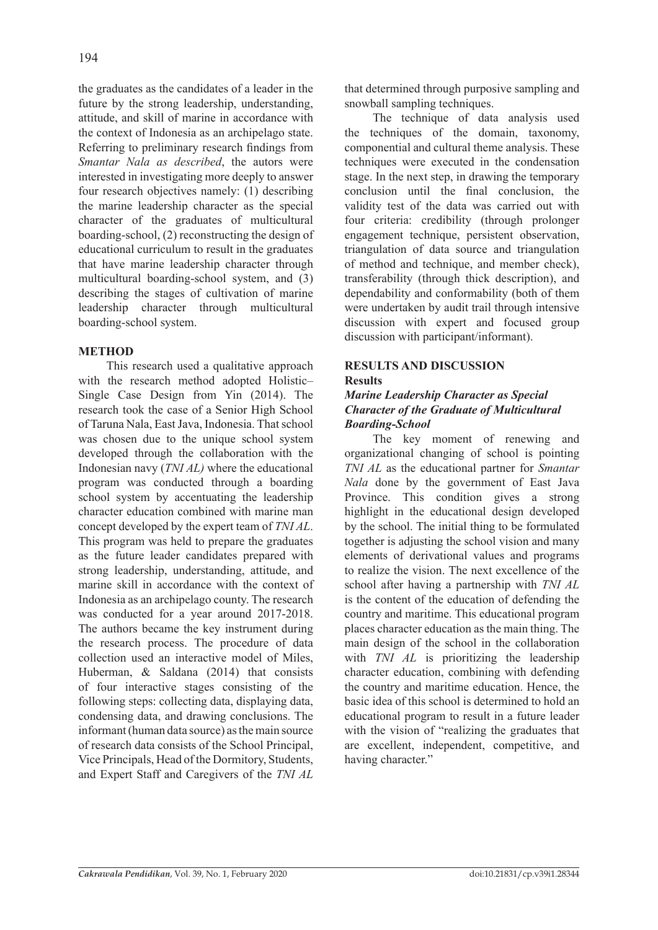the graduates as the candidates of a leader in the future by the strong leadership, understanding, attitude, and skill of marine in accordance with the context of Indonesia as an archipelago state. Referring to preliminary research findings from *Smantar Nala as described*, the autors were interested in investigating more deeply to answer four research objectives namely: (1) describing the marine leadership character as the special character of the graduates of multicultural boarding-school, (2) reconstructing the design of educational curriculum to result in the graduates that have marine leadership character through multicultural boarding-school system, and (3) describing the stages of cultivation of marine leadership character through multicultural boarding-school system.

## **METHOD**

This research used a qualitative approach with the research method adopted Holistic– Single Case Design from Yin (2014). The research took the case of a Senior High School of Taruna Nala, East Java, Indonesia. That school was chosen due to the unique school system developed through the collaboration with the Indonesian navy (*TNI AL)* where the educational program was conducted through a boarding school system by accentuating the leadership character education combined with marine man concept developed by the expert team of *TNI AL*. This program was held to prepare the graduates as the future leader candidates prepared with strong leadership, understanding, attitude, and marine skill in accordance with the context of Indonesia as an archipelago county. The research was conducted for a year around 2017-2018. The authors became the key instrument during the research process. The procedure of data collection used an interactive model of Miles, Huberman, & Saldana (2014) that consists of four interactive stages consisting of the following steps: collecting data, displaying data, condensing data, and drawing conclusions. The informant (human data source) as the main source of research data consists of the School Principal, Vice Principals, Head of the Dormitory, Students, and Expert Staff and Caregivers of the *TNI AL* that determined through purposive sampling and snowball sampling techniques.

The technique of data analysis used the techniques of the domain, taxonomy, componential and cultural theme analysis. These techniques were executed in the condensation stage. In the next step, in drawing the temporary conclusion until the final conclusion, the validity test of the data was carried out with four criteria: credibility (through prolonger engagement technique, persistent observation, triangulation of data source and triangulation of method and technique, and member check), transferability (through thick description), and dependability and conformability (both of them were undertaken by audit trail through intensive discussion with expert and focused group discussion with participant/informant).

# **RESULTS AND DISCUSSION Results**

## *Marine Leadership Character as Special Character of the Graduate of Multicultural Boarding-School*

The key moment of renewing and organizational changing of school is pointing *TNI AL* as the educational partner for *Smantar Nala* done by the government of East Java Province. This condition gives a strong highlight in the educational design developed by the school. The initial thing to be formulated together is adjusting the school vision and many elements of derivational values and programs to realize the vision. The next excellence of the school after having a partnership with *TNI AL* is the content of the education of defending the country and maritime. This educational program places character education as the main thing. The main design of the school in the collaboration with *TNI AL* is prioritizing the leadership character education, combining with defending the country and maritime education. Hence, the basic idea of this school is determined to hold an educational program to result in a future leader with the vision of "realizing the graduates that are excellent, independent, competitive, and having character."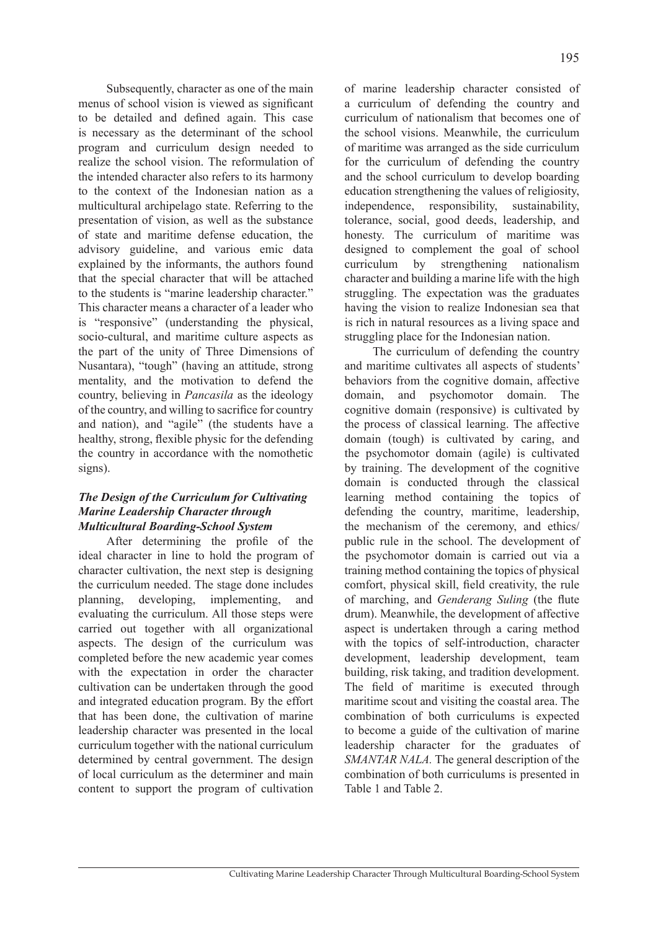Subsequently, character as one of the main menus of school vision is viewed as significant to be detailed and defined again. This case is necessary as the determinant of the school program and curriculum design needed to realize the school vision. The reformulation of the intended character also refers to its harmony to the context of the Indonesian nation as a multicultural archipelago state. Referring to the presentation of vision, as well as the substance of state and maritime defense education, the advisory guideline, and various emic data explained by the informants, the authors found that the special character that will be attached to the students is "marine leadership character." This character means a character of a leader who is "responsive" (understanding the physical, socio-cultural, and maritime culture aspects as the part of the unity of Three Dimensions of Nusantara), "tough" (having an attitude, strong mentality, and the motivation to defend the country, believing in *Pancasila* as the ideology of the country, and willing to sacrifice for country and nation), and "agile" (the students have a healthy, strong, flexible physic for the defending the country in accordance with the nomothetic signs).

## *The Design of the Curriculum for Cultivating Marine Leadership Character through Multicultural Boarding-School System*

After determining the profile of the ideal character in line to hold the program of character cultivation, the next step is designing the curriculum needed. The stage done includes planning, developing, implementing, and evaluating the curriculum. All those steps were carried out together with all organizational aspects. The design of the curriculum was completed before the new academic year comes with the expectation in order the character cultivation can be undertaken through the good and integrated education program. By the effort that has been done, the cultivation of marine leadership character was presented in the local curriculum together with the national curriculum determined by central government. The design of local curriculum as the determiner and main content to support the program of cultivation

of marine leadership character consisted of a curriculum of defending the country and curriculum of nationalism that becomes one of the school visions. Meanwhile, the curriculum of maritime was arranged as the side curriculum for the curriculum of defending the country and the school curriculum to develop boarding education strengthening the values of religiosity, independence, responsibility, sustainability, tolerance, social, good deeds, leadership, and honesty. The curriculum of maritime was designed to complement the goal of school curriculum by strengthening nationalism character and building a marine life with the high struggling. The expectation was the graduates having the vision to realize Indonesian sea that is rich in natural resources as a living space and struggling place for the Indonesian nation.

The curriculum of defending the country and maritime cultivates all aspects of students' behaviors from the cognitive domain, affective domain, and psychomotor domain. The cognitive domain (responsive) is cultivated by the process of classical learning. The affective domain (tough) is cultivated by caring, and the psychomotor domain (agile) is cultivated by training. The development of the cognitive domain is conducted through the classical learning method containing the topics of defending the country, maritime, leadership, the mechanism of the ceremony, and ethics/ public rule in the school. The development of the psychomotor domain is carried out via a training method containing the topics of physical comfort, physical skill, field creativity, the rule of marching, and *Genderang Suling* (the flute drum). Meanwhile, the development of affective aspect is undertaken through a caring method with the topics of self-introduction, character development, leadership development, team building, risk taking, and tradition development. The field of maritime is executed through maritime scout and visiting the coastal area. The combination of both curriculums is expected to become a guide of the cultivation of marine leadership character for the graduates of *SMANTAR NALA.* The general description of the combination of both curriculums is presented in Table 1 and Table 2.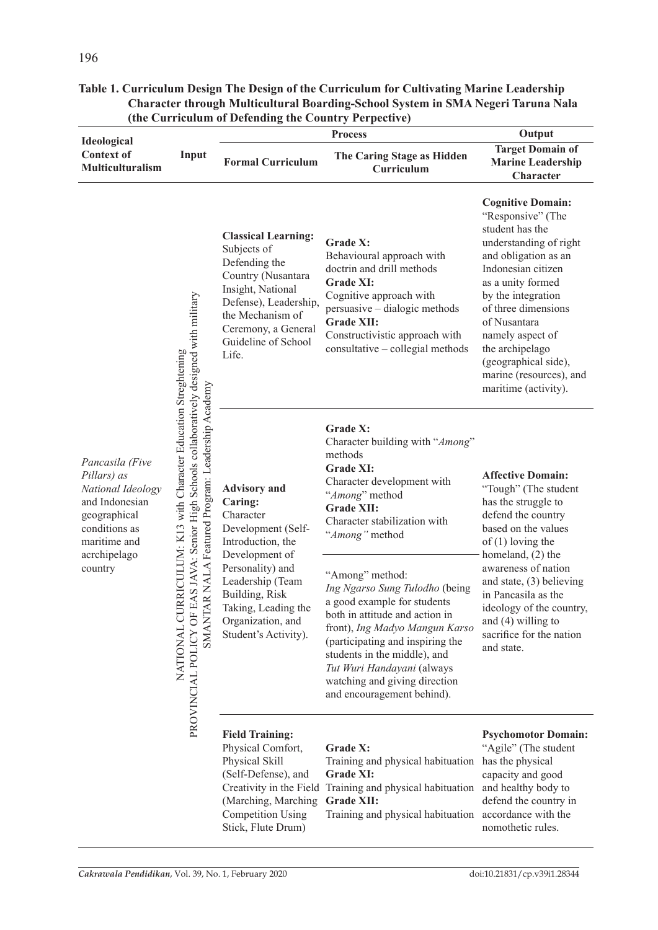|                                                                                                                                                   | Input                                                                                                                                                                                                                             | tine Curriculum or Detenuing the Country Ferpective)<br><b>Process</b>                                                                                                                                                                 |                                                                                                                                                                                                                                                                                                                       | Output                                                                                                                                                                                                                                                                                                                                       |
|---------------------------------------------------------------------------------------------------------------------------------------------------|-----------------------------------------------------------------------------------------------------------------------------------------------------------------------------------------------------------------------------------|----------------------------------------------------------------------------------------------------------------------------------------------------------------------------------------------------------------------------------------|-----------------------------------------------------------------------------------------------------------------------------------------------------------------------------------------------------------------------------------------------------------------------------------------------------------------------|----------------------------------------------------------------------------------------------------------------------------------------------------------------------------------------------------------------------------------------------------------------------------------------------------------------------------------------------|
| Ideological<br><b>Context of</b><br>Multiculturalism                                                                                              |                                                                                                                                                                                                                                   | <b>Formal Curriculum</b>                                                                                                                                                                                                               | The Caring Stage as Hidden<br>Curriculum                                                                                                                                                                                                                                                                              | <b>Target Domain of</b><br><b>Marine Leadership</b><br>Character                                                                                                                                                                                                                                                                             |
| Pancasila (Five<br>Pillars) as<br>National Ideology<br>and Indonesian<br>geographical<br>conditions as<br>maritime and<br>acrchipelago<br>country | PROVINCIAL POLICY OF EAS JAVA: Senior High Schools collaboratively designed with military<br>URRICULUM: K13 with Character Education Streghtening<br>TAR NALA Featured Program: Leadership Academy<br>NATIONAL C<br><b>TIANNS</b> | <b>Classical Learning:</b><br>Subjects of<br>Defending the<br>Country (Nusantara<br>Insight, National<br>Defense), Leadership,<br>the Mechanism of<br>Ceremony, a General<br>Guideline of School<br>Life.                              | Grade X:<br>Behavioural approach with<br>doctrin and drill methods<br><b>Grade XI:</b><br>Cognitive approach with<br>persuasive - dialogic methods<br><b>Grade XII:</b><br>Constructivistic approach with<br>consultative - collegial methods                                                                         | <b>Cognitive Domain:</b><br>"Responsive" (The<br>student has the<br>understanding of right<br>and obligation as an<br>Indonesian citizen<br>as a unity formed<br>by the integration<br>of three dimensions<br>of Nusantara<br>namely aspect of<br>the archipelago<br>(geographical side),<br>marine (resources), and<br>maritime (activity). |
|                                                                                                                                                   |                                                                                                                                                                                                                                   | <b>Advisory</b> and<br>Caring:<br>Character<br>Development (Self-<br>Introduction, the<br>Development of<br>Personality) and<br>Leadership (Team<br>Building, Risk<br>Taking, Leading the<br>Organization, and<br>Student's Activity). | Grade X:<br>Character building with "Among"<br>methods<br><b>Grade XI:</b><br>Character development with<br>"Among" method<br><b>Grade XII:</b><br>Character stabilization with<br>"Among" method                                                                                                                     | <b>Affective Domain:</b><br>"Tough" (The student<br>has the struggle to<br>defend the country<br>based on the values<br>of $(1)$ loving the<br>homeland, (2) the<br>awareness of nation<br>and state, (3) believing<br>in Pancasila as the<br>ideology of the country,<br>and $(4)$ willing to<br>sacrifice for the nation<br>and state.     |
|                                                                                                                                                   |                                                                                                                                                                                                                                   |                                                                                                                                                                                                                                        | "Among" method:<br>Ing Ngarso Sung Tulodho (being<br>a good example for students<br>both in attitude and action in<br>front), Ing Madyo Mangun Karso<br>(participating and inspiring the<br>students in the middle), and<br>Tut Wuri Handayani (always<br>watching and giving direction<br>and encouragement behind). |                                                                                                                                                                                                                                                                                                                                              |
|                                                                                                                                                   |                                                                                                                                                                                                                                   | <b>Field Training:</b><br>Physical Comfort,<br>Physical Skill<br>(Self-Defense), and<br>Creativity in the Field<br>(Marching, Marching)<br><b>Competition Using</b><br>Stick, Flute Drum)                                              | Grade X:<br>Training and physical habituation<br>Grade XI:<br>Training and physical habituation<br><b>Grade XII:</b><br>Training and physical habituation accordance with the                                                                                                                                         | <b>Psychomotor Domain:</b><br>"Agile" (The student<br>has the physical<br>capacity and good<br>and healthy body to<br>defend the country in<br>nomothetic rules.                                                                                                                                                                             |

# **Table 1. Curriculum Design The Design of the Curriculum for Cultivating Marine Leadership Character through Multicultural Boarding-School System in SMA Negeri Taruna Nala (the Curriculum of Defending the Country Perpective)**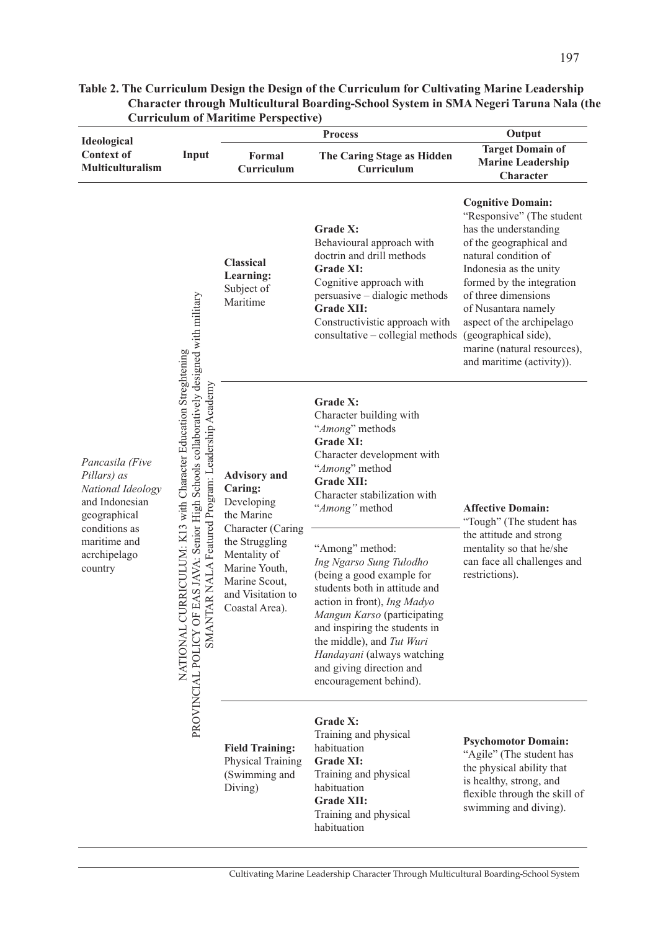|                                                                                                                                                   |                                                                                                                                                                                                                                    | <b>Curriculum of Maritime Perspective)</b>                                                                                                                                                |                                                                                                                                                                                                                                                                                                                          |                                                                                                                                                                                                                                                                                                                                                         |
|---------------------------------------------------------------------------------------------------------------------------------------------------|------------------------------------------------------------------------------------------------------------------------------------------------------------------------------------------------------------------------------------|-------------------------------------------------------------------------------------------------------------------------------------------------------------------------------------------|--------------------------------------------------------------------------------------------------------------------------------------------------------------------------------------------------------------------------------------------------------------------------------------------------------------------------|---------------------------------------------------------------------------------------------------------------------------------------------------------------------------------------------------------------------------------------------------------------------------------------------------------------------------------------------------------|
| Ideological<br><b>Context of</b><br>Multiculturalism                                                                                              | Input                                                                                                                                                                                                                              | Formal<br>Curriculum                                                                                                                                                                      | <b>Process</b><br>The Caring Stage as Hidden<br>Curriculum                                                                                                                                                                                                                                                               | Output<br><b>Target Domain of</b><br><b>Marine Leadership</b><br>Character                                                                                                                                                                                                                                                                              |
| Pancasila (Five<br>Pillars) as<br>National Ideology<br>and Indonesian<br>geographical<br>conditions as<br>maritime and<br>acrchipelago<br>country | EAS JAVA: Senior High Schools collaboratively designed with military<br>RRICULUM: K13 with Character Education Streghtening<br>AR NALA Featured Program: Leadership Academy<br>NATIONAL CL<br>PROVINCIAL POLICY OF<br><b>TNANT</b> | <b>Classical</b><br>Learning:<br>Subject of<br>Maritime                                                                                                                                   | Grade X:<br>Behavioural approach with<br>doctrin and drill methods<br><b>Grade XI:</b><br>Cognitive approach with<br>persuasive - dialogic methods<br><b>Grade XII:</b><br>Constructivistic approach with<br>consultative - collegial methods                                                                            | <b>Cognitive Domain:</b><br>"Responsive" (The student<br>has the understanding<br>of the geographical and<br>natural condition of<br>Indonesia as the unity<br>formed by the integration<br>of three dimensions<br>of Nusantara namely<br>aspect of the archipelago<br>(geographical side),<br>marine (natural resources),<br>and maritime (activity)). |
|                                                                                                                                                   |                                                                                                                                                                                                                                    | <b>Advisory</b> and<br>Caring:<br>Developing<br>the Marine<br>Character (Caring<br>the Struggling<br>Mentality of<br>Marine Youth,<br>Marine Scout,<br>and Visitation to<br>Coastal Area) | Grade X:<br>Character building with<br>"Among" methods<br><b>Grade XI:</b><br>Character development with<br>"Among" method<br><b>Grade XII:</b><br>Character stabilization with<br>"Among" method                                                                                                                        | <b>Affective Domain:</b><br>"Tough" (The student has<br>the attitude and strong<br>mentality so that he/she<br>can face all challenges and<br>restrictions).                                                                                                                                                                                            |
|                                                                                                                                                   |                                                                                                                                                                                                                                    |                                                                                                                                                                                           | "Among" method:<br>Ing Ngarso Sung Tulodho<br>(being a good example for<br>students both in attitude and<br>action in front), Ing Madyo<br>Mangun Karso (participating<br>and inspiring the students in<br>the middle), and Tut Wuri<br>Handayani (always watching<br>and giving direction and<br>encouragement behind). |                                                                                                                                                                                                                                                                                                                                                         |
|                                                                                                                                                   |                                                                                                                                                                                                                                    | <b>Field Training:</b><br>Physical Training<br>(Swimming and<br>Diving)                                                                                                                   | Grade X:<br>Training and physical<br>habituation<br><b>Grade XI:</b><br>Training and physical<br>habituation<br><b>Grade XII:</b><br>Training and physical<br>habituation                                                                                                                                                | <b>Psychomotor Domain:</b><br>"Agile" (The student has<br>the physical ability that<br>is healthy, strong, and<br>flexible through the skill of<br>swimming and diving).                                                                                                                                                                                |

# **Table 2. The Curriculum Design the Design of the Curriculum for Cultivating Marine Leadership Character through Multicultural Boarding-School System in SMA Negeri Taruna Nala (the Curriculum of Maritime Perspective)**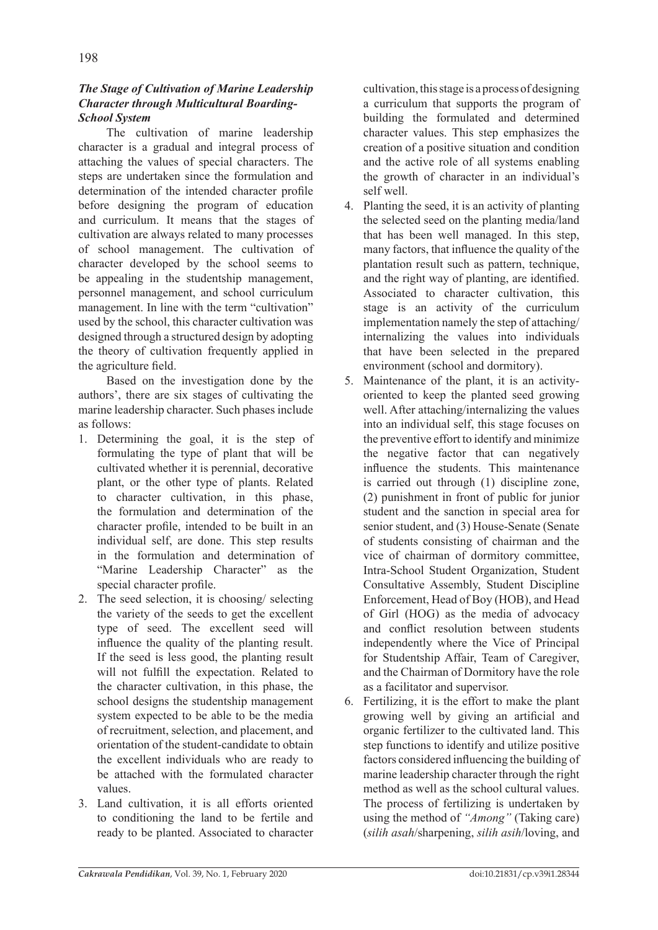# *The Stage of Cultivation of Marine Leadership Character through Multicultural Boarding-School System*

The cultivation of marine leadership character is a gradual and integral process of attaching the values of special characters. The steps are undertaken since the formulation and determination of the intended character profile before designing the program of education and curriculum. It means that the stages of cultivation are always related to many processes of school management. The cultivation of character developed by the school seems to be appealing in the studentship management, personnel management, and school curriculum management. In line with the term "cultivation" used by the school, this character cultivation was designed through a structured design by adopting the theory of cultivation frequently applied in the agriculture field.

Based on the investigation done by the authors', there are six stages of cultivating the marine leadership character. Such phases include as follows:

- 1. Determining the goal, it is the step of formulating the type of plant that will be cultivated whether it is perennial, decorative plant, or the other type of plants. Related to character cultivation, in this phase, the formulation and determination of the character profile, intended to be built in an individual self, are done. This step results in the formulation and determination of "Marine Leadership Character" as the special character profile.
- 2. The seed selection, it is choosing/ selecting the variety of the seeds to get the excellent type of seed. The excellent seed will influence the quality of the planting result. If the seed is less good, the planting result will not fulfill the expectation. Related to the character cultivation, in this phase, the school designs the studentship management system expected to be able to be the media of recruitment, selection, and placement, and orientation of the student-candidate to obtain the excellent individuals who are ready to be attached with the formulated character values.
- 3. Land cultivation, it is all efforts oriented to conditioning the land to be fertile and ready to be planted. Associated to character

cultivation, this stage is a process of designing a curriculum that supports the program of building the formulated and determined character values. This step emphasizes the creation of a positive situation and condition and the active role of all systems enabling the growth of character in an individual's self well.

- 4. Planting the seed, it is an activity of planting the selected seed on the planting media/land that has been well managed. In this step, many factors, that influence the quality of the plantation result such as pattern, technique, and the right way of planting, are identified. Associated to character cultivation, this stage is an activity of the curriculum implementation namely the step of attaching/ internalizing the values into individuals that have been selected in the prepared environment (school and dormitory).
- 5. Maintenance of the plant, it is an activityoriented to keep the planted seed growing well. After attaching/internalizing the values into an individual self, this stage focuses on the preventive effort to identify and minimize the negative factor that can negatively influence the students. This maintenance is carried out through (1) discipline zone, (2) punishment in front of public for junior student and the sanction in special area for senior student, and (3) House-Senate (Senate of students consisting of chairman and the vice of chairman of dormitory committee, Intra-School Student Organization, Student Consultative Assembly, Student Discipline Enforcement, Head of Boy (HOB), and Head of Girl (HOG) as the media of advocacy and conflict resolution between students independently where the Vice of Principal for Studentship Affair, Team of Caregiver, and the Chairman of Dormitory have the role as a facilitator and supervisor.
- 6. Fertilizing, it is the effort to make the plant growing well by giving an artificial and organic fertilizer to the cultivated land. This step functions to identify and utilize positive factors considered influencing the building of marine leadership character through the right method as well as the school cultural values. The process of fertilizing is undertaken by using the method of *"Among"* (Taking care) (*silih asah*/sharpening, *silih asih*/loving, and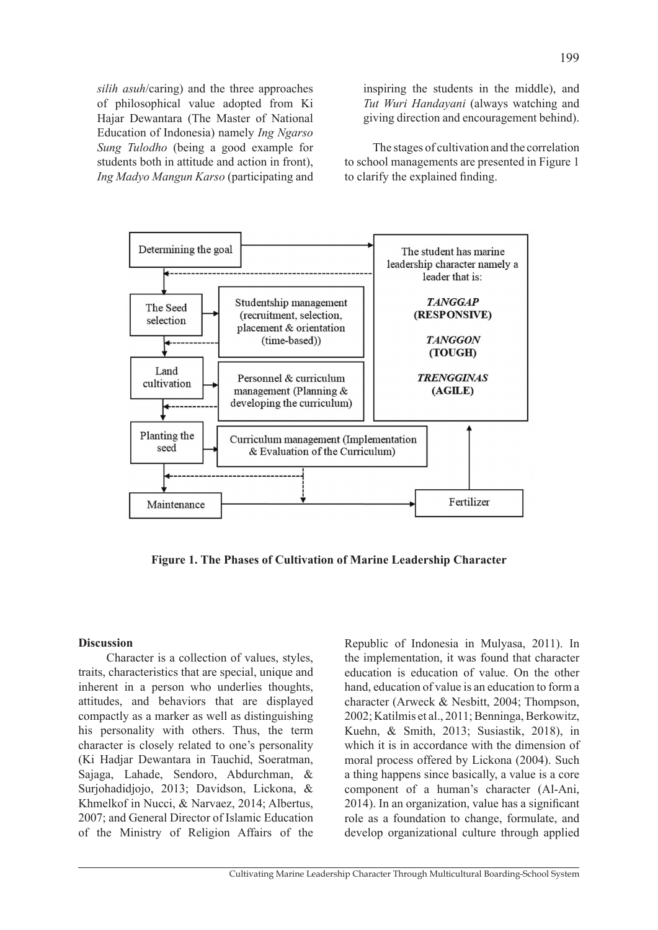*silih asuh*/caring) and the three approaches of philosophical value adopted from Ki Hajar Dewantara (The Master of National Education of Indonesia) namely *Ing Ngarso Sung Tulodho* (being a good example for students both in attitude and action in front), *Ing Madyo Mangun Karso* (participating and inspiring the students in the middle), and *Tut Wuri Handayani* (always watching and giving direction and encouragement behind).

The stages of cultivation and the correlation to school managements are presented in Figure 1 to clarify the explained finding.



**Figure 1. The Phases of Cultivation of Marine Leadership Character** 

#### **Discussion**

Character is a collection of values, styles, traits, characteristics that are special, unique and inherent in a person who underlies thoughts, attitudes, and behaviors that are displayed compactly as a marker as well as distinguishing his personality with others. Thus, the term character is closely related to one's personality (Ki Hadjar Dewantara in Tauchid, Soeratman, Sajaga, Lahade, Sendoro, Abdurchman, & Surjohadidjojo, 2013; Davidson, Lickona, & Khmelkof in Nucci, & Narvaez, 2014; Albertus, 2007; and General Director of Islamic Education of the Ministry of Religion Affairs of the

Republic of Indonesia in Mulyasa, 2011). In the implementation, it was found that character education is education of value. On the other hand, education of value is an education to form a character (Arweck & Nesbitt, 2004; Thompson, 2002; Katilmis et al., 2011; Benninga, Berkowitz, Kuehn, & Smith, 2013; Susiastik, 2018), in which it is in accordance with the dimension of moral process offered by Lickona (2004). Such a thing happens since basically, a value is a core component of a human's character (Al-Ani, 2014). In an organization, value has a significant role as a foundation to change, formulate, and develop organizational culture through applied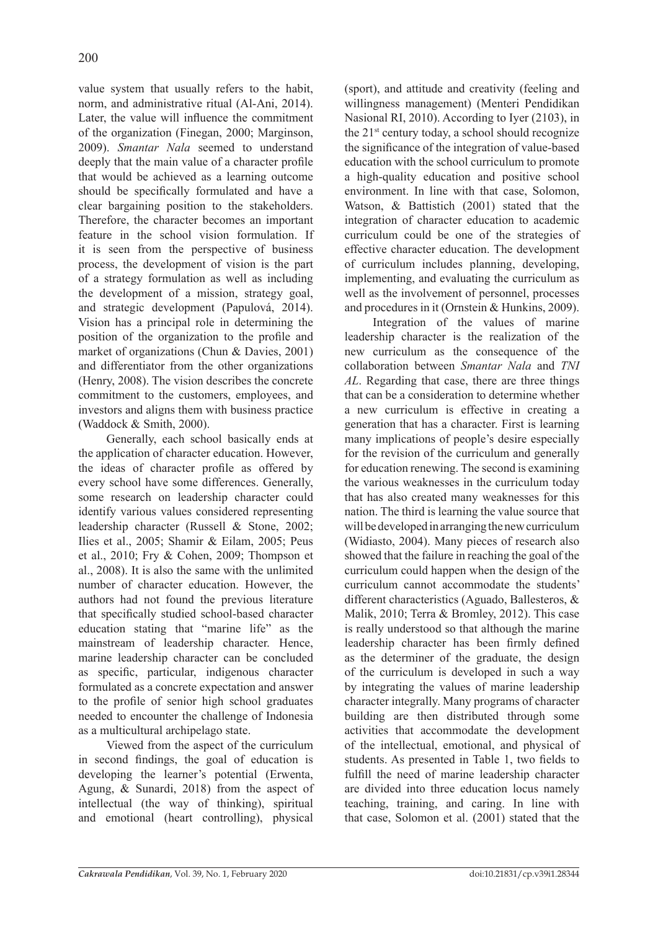value system that usually refers to the habit, norm, and administrative ritual (Al-Ani, 2014). Later, the value will influence the commitment of the organization (Finegan, 2000; Marginson, 2009). *Smantar Nala* seemed to understand deeply that the main value of a character profile that would be achieved as a learning outcome should be specifically formulated and have a clear bargaining position to the stakeholders. Therefore, the character becomes an important feature in the school vision formulation. If it is seen from the perspective of business process, the development of vision is the part of a strategy formulation as well as including the development of a mission, strategy goal, and strategic development (Papulová, 2014). Vision has a principal role in determining the position of the organization to the profile and market of organizations (Chun & Davies, 2001) and differentiator from the other organizations (Henry, 2008). The vision describes the concrete commitment to the customers, employees, and investors and aligns them with business practice (Waddock & Smith, 2000).

Generally, each school basically ends at the application of character education. However, the ideas of character profile as offered by every school have some differences. Generally, some research on leadership character could identify various values considered representing leadership character (Russell & Stone, 2002; Ilies et al., 2005; Shamir & Eilam, 2005; Peus et al., 2010; Fry & Cohen, 2009; Thompson et al., 2008). It is also the same with the unlimited number of character education. However, the authors had not found the previous literature that specifically studied school-based character education stating that "marine life" as the mainstream of leadership character. Hence, marine leadership character can be concluded as specific, particular, indigenous character formulated as a concrete expectation and answer to the profile of senior high school graduates needed to encounter the challenge of Indonesia as a multicultural archipelago state.

Viewed from the aspect of the curriculum in second findings, the goal of education is developing the learner's potential (Erwenta, Agung, & Sunardi, 2018) from the aspect of intellectual (the way of thinking), spiritual and emotional (heart controlling), physical

(sport), and attitude and creativity (feeling and willingness management) (Menteri Pendidikan Nasional RI, 2010). According to Iyer (2103), in the  $21<sup>st</sup>$  century today, a school should recognize the significance of the integration of value-based education with the school curriculum to promote a high-quality education and positive school environment. In line with that case, Solomon, Watson, & Battistich (2001) stated that the integration of character education to academic curriculum could be one of the strategies of effective character education. The development of curriculum includes planning, developing, implementing, and evaluating the curriculum as well as the involvement of personnel, processes and procedures in it (Ornstein & Hunkins, 2009).

Integration of the values of marine leadership character is the realization of the new curriculum as the consequence of the collaboration between *Smantar Nala* and *TNI AL*. Regarding that case, there are three things that can be a consideration to determine whether a new curriculum is effective in creating a generation that has a character. First is learning many implications of people's desire especially for the revision of the curriculum and generally for education renewing. The second is examining the various weaknesses in the curriculum today that has also created many weaknesses for this nation. The third is learning the value source that will be developed in arranging the new curriculum (Widiasto, 2004). Many pieces of research also showed that the failure in reaching the goal of the curriculum could happen when the design of the curriculum cannot accommodate the students' different characteristics (Aguado, Ballesteros, & Malik, 2010; Terra & Bromley, 2012). This case is really understood so that although the marine leadership character has been firmly defined as the determiner of the graduate, the design of the curriculum is developed in such a way by integrating the values of marine leadership character integrally. Many programs of character building are then distributed through some activities that accommodate the development of the intellectual, emotional, and physical of students. As presented in Table 1, two fields to fulfill the need of marine leadership character are divided into three education locus namely teaching, training, and caring. In line with that case, Solomon et al. (2001) stated that the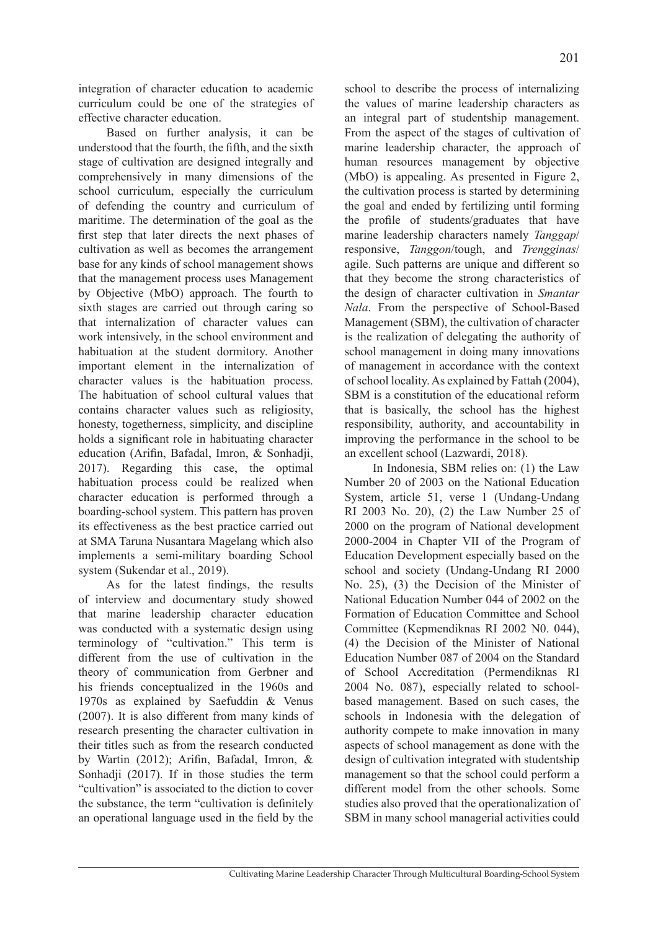integration of character education to academic curriculum could be one of the strategies of effective character education.

Based on further analysis, it can be understood that the fourth, the fifth, and the sixth stage of cultivation are designed integrally and comprehensively in many dimensions of the school curriculum, especially the curriculum of defending the country and curriculum of maritime. The determination of the goal as the first step that later directs the next phases of cultivation as well as becomes the arrangement base for any kinds of school management shows that the management process uses Management by Objective (MbO) approach. The fourth to sixth stages are carried out through caring so that internalization of character values can work intensively, in the school environment and habituation at the student dormitory. Another important element in the internalization of character values is the habituation process. The habituation of school cultural values that contains character values such as religiosity, honesty, togetherness, simplicity, and discipline holds a significant role in habituating character education (Arifin, Bafadal, Imron, & Sonhadji, 2017). Regarding this case, the optimal habituation process could be realized when character education is performed through a boarding-school system. This pattern has proven its effectiveness as the best practice carried out at SMA Taruna Nusantara Magelang which also implements a semi-military boarding School system (Sukendar et al., 2019).

As for the latest findings, the results of interview and documentary study showed that marine leadership character education was conducted with a systematic design using terminology of "cultivation." This term is different from the use of cultivation in the theory of communication from Gerbner and his friends conceptualized in the 1960s and 1970s as explained by Saefuddin & Venus (2007). It is also different from many kinds of research presenting the character cultivation in their titles such as from the research conducted by Wartin (2012); Arifin, Bafadal, Imron, & Sonhadji (2017). If in those studies the term "cultivation" is associated to the diction to cover the substance, the term "cultivation is definitely an operational language used in the field by the school to describe the process of internalizing the values of marine leadership characters as an integral part of studentship management. From the aspect of the stages of cultivation of marine leadership character, the approach of human resources management by objective (MbO) is appealing. As presented in Figure 2, the cultivation process is started by determining the goal and ended by fertilizing until forming the profile of students/graduates that have marine leadership characters namely *Tanggap*/ responsive, *Tanggon*/tough, and *Trengginas*/ agile. Such patterns are unique and different so that they become the strong characteristics of the design of character cultivation in *Smantar Nala*. From the perspective of School-Based Management (SBM), the cultivation of character is the realization of delegating the authority of school management in doing many innovations of management in accordance with the context of school locality. As explained by Fattah (2004), SBM is a constitution of the educational reform that is basically, the school has the highest responsibility, authority, and accountability in improving the performance in the school to be an excellent school (Lazwardi, 2018).

In Indonesia, SBM relies on: (1) the Law Number 20 of 2003 on the National Education System, article 51, verse 1 (Undang-Undang RI 2003 No. 20), (2) the Law Number 25 of 2000 on the program of National development 2000-2004 in Chapter VII of the Program of Education Development especially based on the school and society (Undang-Undang RI 2000 No. 25), (3) the Decision of the Minister of National Education Number 044 of 2002 on the Formation of Education Committee and School Committee (Kepmendiknas RI 2002 N0. 044), (4) the Decision of the Minister of National Education Number 087 of 2004 on the Standard of School Accreditation (Permendiknas RI 2004 No. 087), especially related to schoolbased management. Based on such cases, the schools in Indonesia with the delegation of authority compete to make innovation in many aspects of school management as done with the design of cultivation integrated with studentship management so that the school could perform a different model from the other schools. Some studies also proved that the operationalization of SBM in many school managerial activities could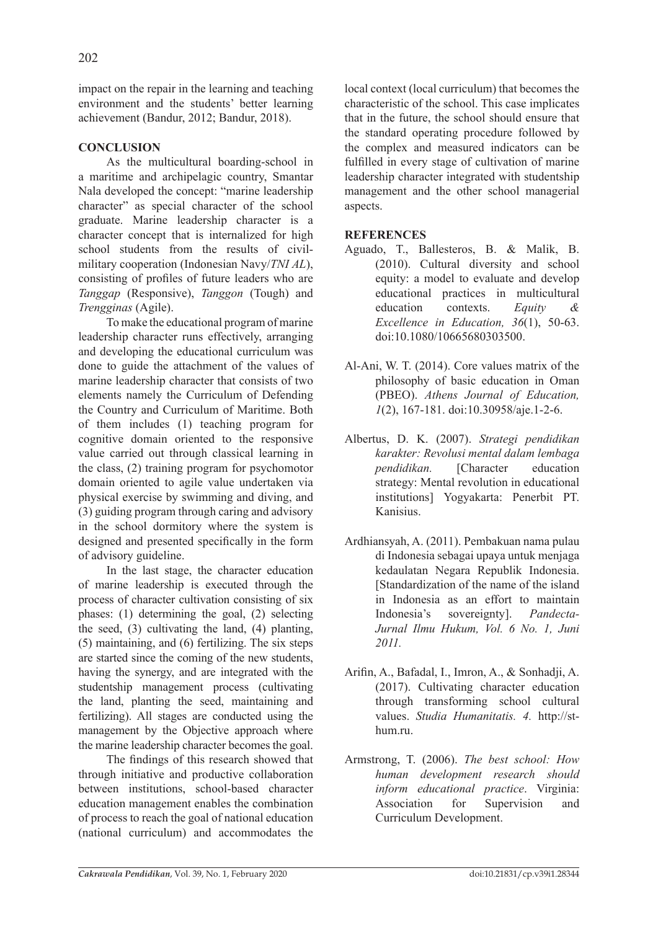impact on the repair in the learning and teaching environment and the students' better learning achievement (Bandur, 2012; Bandur, 2018).

# **CONCLUSION**

As the multicultural boarding-school in a maritime and archipelagic country, Smantar Nala developed the concept: "marine leadership character" as special character of the school graduate. Marine leadership character is a character concept that is internalized for high school students from the results of civilmilitary cooperation (Indonesian Navy/*TNI AL*), consisting of profiles of future leaders who are *Tanggap* (Responsive), *Tanggon* (Tough) and *Trengginas* (Agile).

To make the educational program of marine leadership character runs effectively, arranging and developing the educational curriculum was done to guide the attachment of the values of marine leadership character that consists of two elements namely the Curriculum of Defending the Country and Curriculum of Maritime. Both of them includes (1) teaching program for cognitive domain oriented to the responsive value carried out through classical learning in the class, (2) training program for psychomotor domain oriented to agile value undertaken via physical exercise by swimming and diving, and (3) guiding program through caring and advisory in the school dormitory where the system is designed and presented specifically in the form of advisory guideline.

In the last stage, the character education of marine leadership is executed through the process of character cultivation consisting of six phases: (1) determining the goal, (2) selecting the seed, (3) cultivating the land, (4) planting, (5) maintaining, and (6) fertilizing. The six steps are started since the coming of the new students, having the synergy, and are integrated with the studentship management process (cultivating the land, planting the seed, maintaining and fertilizing). All stages are conducted using the management by the Objective approach where the marine leadership character becomes the goal.

The findings of this research showed that through initiative and productive collaboration between institutions, school-based character education management enables the combination of process to reach the goal of national education (national curriculum) and accommodates the local context (local curriculum) that becomes the characteristic of the school. This case implicates that in the future, the school should ensure that the standard operating procedure followed by the complex and measured indicators can be fulfilled in every stage of cultivation of marine leadership character integrated with studentship management and the other school managerial aspects.

# **REFERENCES**

- Aguado, T., Ballesteros, B. & Malik, B. (2010). Cultural diversity and school equity: a model to evaluate and develop educational practices in multicultural education contexts. *Equity & Excellence in Education, 36*(1), 50-63. doi:10.1080/10665680303500.
- Al-Ani, W. T. (2014). Core values matrix of the philosophy of basic education in Oman (PBEO). *Athens Journal of Education, 1*(2), 167-181. doi:10.30958/aje.1-2-6.
- Albertus, D. K. (2007). *Strategi pendidikan karakter: Revolusi mental dalam lembaga pendidikan.* [Character education strategy: Mental revolution in educational institutions] Yogyakarta: Penerbit PT. Kanisius.
- Ardhiansyah, A. (2011). Pembakuan nama pulau di Indonesia sebagai upaya untuk menjaga kedaulatan Negara Republik Indonesia. [Standardization of the name of the island in Indonesia as an effort to maintain Indonesia's sovereignty]. *Pandecta-Jurnal Ilmu Hukum, Vol. 6 No. 1, Juni 2011.*
- Arifin, A., Bafadal, I., Imron, A., & Sonhadji, A. (2017). Cultivating character education through transforming school cultural values. *Studia Humanitatis. 4.* http://sthum.ru.
- Armstrong, T. (2006). *The best school: How human development research should inform educational practice*. Virginia: Association for Supervision and Curriculum Development.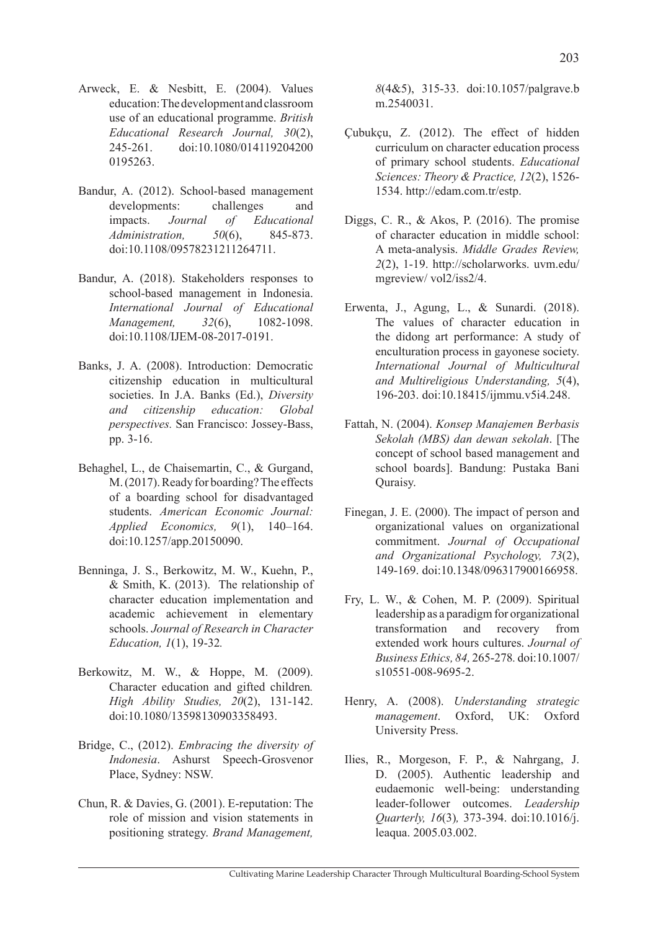- Arweck, E. & Nesbitt, E. (2004). Values education: The development and classroom use of an educational programme. *British Educational Research Journal, 30*(2), 245-261. doi:10.1080/014119204200 0195263.
- Bandur, A. (2012). School-based management developments: challenges and impacts. *Journal of Educational Administration, 50*(6), 845-873. doi:10.1108/09578231211264711.
- Bandur, A. (2018). Stakeholders responses to school-based management in Indonesia. *International Journal of Educational Management.* 32(6), 1082-1098. doi:10.1108/IJEM-08-2017-0191.
- Banks, J. A. (2008). Introduction: Democratic citizenship education in multicultural societies. In J.A. Banks (Ed.), *Diversity and citizenship education: Global perspectives.* San Francisco: Jossey-Bass, pp. 3-16.
- Behaghel, L., de Chaisemartin, C., & Gurgand, M. (2017). Ready for boarding? The effects of a boarding school for disadvantaged students. *American Economic Journal: Applied Economics, 9*(1), 140–164. doi:10.1257/app.20150090.
- Benninga, J. S., Berkowitz, M. W., Kuehn, P., & Smith, K. (2013). The relationship of character education implementation and academic achievement in elementary schools. *Journal of Research in Character Education, 1*(1), 19-32*.*
- Berkowitz, M. W., & Hoppe, M. (2009). Character education and gifted children*. High Ability Studies, 20*(2), 131-142. doi:10.1080/13598130903358493.
- Bridge, C., (2012). *Embracing the diversity of Indonesia*. Ashurst Speech-Grosvenor Place, Sydney: NSW.
- Chun, R. & Davies, G. (2001). E-reputation: The role of mission and vision statements in positioning strategy. *Brand Management,*

*8*(4&5), 315-33. doi:10.1057/palgrave.b m.2540031.

- Çubukçu, Z. (2012). The effect of hidden curriculum on character education process of primary school students. *Educational Sciences: Theory & Practice, 12*(2), 1526- 1534. http://edam.com.tr/estp.
- Diggs, C. R., & Akos, P. (2016). The promise of character education in middle school: A meta-analysis. *Middle Grades Review, 2*(2), 1-19. http://scholarworks. uvm.edu/ mgreview/ vol2/iss2/4.
- Erwenta, J., Agung, L., & Sunardi. (2018). The values of character education in the didong art performance: A study of enculturation process in gayonese society. *International Journal of Multicultural and Multireligious Understanding, 5*(4), 196-203. doi:10.18415/ijmmu.v5i4.248.
- Fattah, N. (2004). *Konsep Manajemen Berbasis Sekolah (MBS) dan dewan sekolah*. [The concept of school based management and school boards]. Bandung: Pustaka Bani Quraisy.
- Finegan, J. E. (2000). The impact of person and organizational values on organizational commitment. *Journal of Occupational and Organizational Psychology, 73*(2), 149-169. doi:10.1348/096317900166958.
- Fry, L. W., & Cohen, M. P. (2009). Spiritual leadership as a paradigm for organizational transformation and recovery from extended work hours cultures. *Journal of Business Ethics, 84,* 265-278*.* doi:10.1007/ s10551-008-9695-2.
- Henry, A. (2008). *Understanding strategic management*. Oxford, UK: Oxford University Press.
- Ilies, R., Morgeson, F. P., & Nahrgang, J. D. (2005). Authentic leadership and eudaemonic well-being: understanding leader-follower outcomes. *Leadership Quarterly, 16*(3)*,* 373-394. doi:10.1016/j. leaqua. 2005.03.002.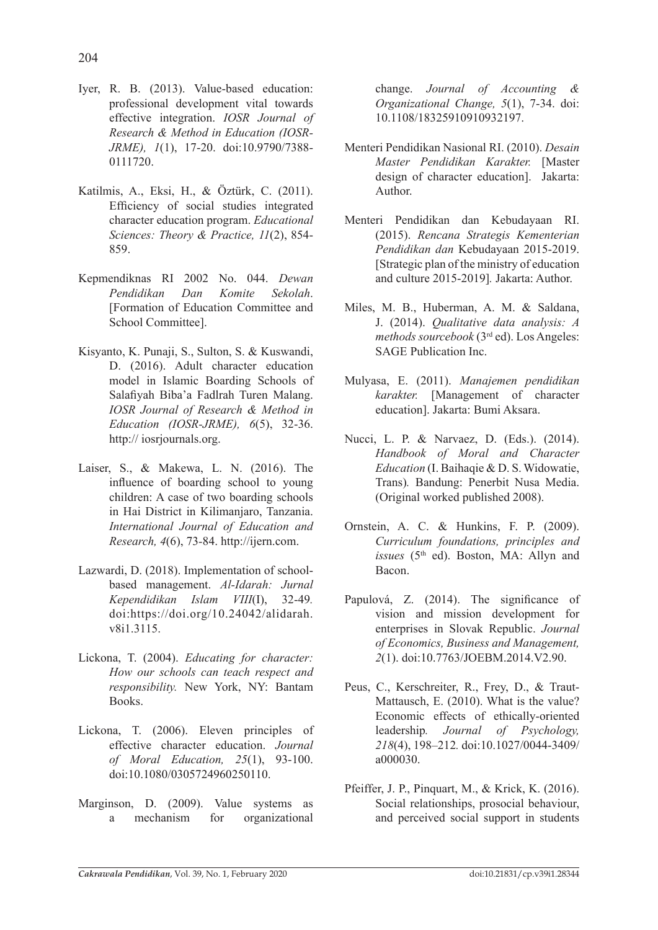- Iyer, R. B. (2013). Value-based education: professional development vital towards effective integration. *IOSR Journal of Research & Method in Education (IOSR-JRME), 1*(1), 17-20. doi:10.9790/7388- 0111720.
- Katilmis, A., Eksi, H., & Öztürk, C. (2011). Efficiency of social studies integrated character education program. *Educational Sciences: Theory & Practice, 11*(2), 854- 859.
- Kepmendiknas RI 2002 No. 044. *Dewan Pendidikan Dan Komite Sekolah*. [Formation of Education Committee and School Committee].
- Kisyanto, K. Punaji, S., Sulton, S. & Kuswandi, D. (2016). Adult character education model in Islamic Boarding Schools of Salafiyah Biba'a Fadlrah Turen Malang. *IOSR Journal of Research & Method in Education (IOSR-JRME), 6*(5), 32-36. http:// iosrjournals.org.
- Laiser, S., & Makewa, L. N. (2016). The influence of boarding school to young children: A case of two boarding schools in Hai District in Kilimanjaro, Tanzania. *International Journal of Education and Research, 4*(6), 73*-*84. http://ijern.com.
- Lazwardi, D. (2018). Implementation of schoolbased management. *Al-Idarah: Jurnal Kependidikan Islam VIII*(I), 32-49*.*  doi:https://doi.org/10.24042/alidarah. v8i1.3115.
- Lickona, T. (2004). *Educating for character: How our schools can teach respect and responsibility.* New York, NY: Bantam Books.
- Lickona, T. (2006). Eleven principles of effective character education. *Journal of Moral Education, 25*(1), 93-100. doi:10.1080/0305724960250110.
- Marginson, D. (2009). Value systems as a mechanism for organizational

change. *Journal of Accounting & Organizational Change, 5*(1), 7-34. doi: 10.1108/18325910910932197.

- Menteri Pendidikan Nasional RI. (2010). *Desain Master Pendidikan Karakter.* [Master design of character education].Jakarta: Author.
- Menteri Pendidikan dan Kebudayaan RI. (2015). *Rencana Strategis Kementerian Pendidikan dan* Kebudayaan 2015-2019. [Strategic plan of the ministry of education and culture 2015-2019]*.* Jakarta: Author.
- Miles, M. B., Huberman, A. M. & Saldana, J. (2014). *Qualitative data analysis: A methods sourcebook* (3rd ed). Los Angeles: SAGE Publication Inc.
- Mulyasa, E. (2011). *Manajemen pendidikan karakter.* [Management of character education]. Jakarta: Bumi Aksara.
- Nucci, L. P. & Narvaez, D. (Eds.). (2014). *Handbook of Moral and Character Education* (I. Baihaqie & D. S. Widowatie, Trans)*.* Bandung: Penerbit Nusa Media. (Original worked published 2008).
- Ornstein, A. C. & Hunkins, F. P. (2009). *Curriculum foundations, principles and issues* (5<sup>th</sup> ed). Boston, MA: Allyn and Bacon.
- Papulová, Z. (2014). The significance of vision and mission development for enterprises in Slovak Republic. *Journal of Economics, Business and Management, 2*(1). doi:10.7763/JOEBM.2014.V2.90.
- Peus, C., Kerschreiter, R., Frey, D., & Traut-Mattausch, E. (2010). What is the value? Economic effects of ethically-oriented leadership*. Journal of Psychology, 218*(4), 198–212*.* doi:10.1027/0044-3409/ a000030.
- Pfeiffer, J. P., Pinquart, M., & Krick, K. (2016). Social relationships, prosocial behaviour, and perceived social support in students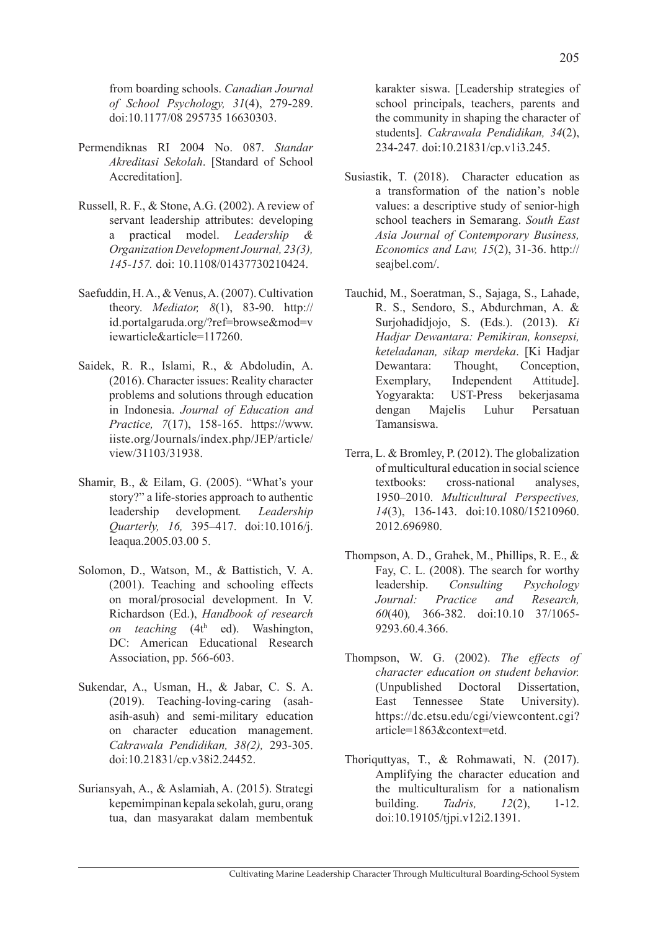from boarding schools. *Canadian Journal of School Psychology, 31*(4), 279-289. doi:10.1177/08 295735 16630303.

- Permendiknas RI 2004 No. 087. *Standar Akreditasi Sekolah*. [Standard of School Accreditation].
- Russell, R. F., & Stone, A.G. (2002). A review of servant leadership attributes: developing a practical model. *Leadership & Organization Development Journal, 23(3), 145-157.* doi: 10.1108/01437730210424.
- Saefuddin, H. A., & Venus, A. (2007). Cultivation theory. *Mediator, 8*(1), 83-90. http:// id.portalgaruda.org/?ref=browse&mod=v iewarticle&article=117260.
- Saidek, R. R., Islami, R., & Abdoludin, A. (2016). Character issues: Reality character problems and solutions through education in Indonesia. *Journal of Education and Practice, 7*(17), 158-165. https://www. iiste.org/Journals/index.php/JEP/article/ view/31103/31938.
- Shamir, B., & Eilam, G. (2005). "What's your story?" a life-stories approach to authentic leadership development*. Leadership Quarterly, 16,* 395–417. doi:10.1016/j. leaqua.2005.03.00 5.
- Solomon, D., Watson, M., & Battistich, V. A. (2001). Teaching and schooling effects on moral/prosocial development. In V. Richardson (Ed.), *Handbook of research*  on teaching (4th ed). Washington, DC: American Educational Research Association, pp. 566-603.
- Sukendar, A., Usman, H., & Jabar, C. S. A. (2019). Teaching-loving-caring (asahasih-asuh) and semi-military education on character education management. *Cakrawala Pendidikan, 38(2),* 293-305. doi:10.21831/cp.v38i2.24452.
- Suriansyah, A., & Aslamiah, A. (2015). Strategi kepemimpinan kepala sekolah, guru, orang tua, dan masyarakat dalam membentuk

karakter siswa. [Leadership strategies of school principals, teachers, parents and the community in shaping the character of students]. *Cakrawala Pendidikan, 34*(2), 234-247*.* doi:10.21831/cp.v1i3.245.

- Susiastik, T. (2018). Character education as a transformation of the nation's noble values: a descriptive study of senior-high school teachers in Semarang. *South East Asia Journal of Contemporary Business, Economics and Law, 15*(2), 31-36. http:// seajbel.com/.
- Tauchid, M., Soeratman, S., Sajaga, S., Lahade, R. S., Sendoro, S., Abdurchman, A. & Surjohadidjojo, S. (Eds.). (2013). *Ki Hadjar Dewantara: Pemikiran, konsepsi, keteladanan, sikap merdeka*. [Ki Hadjar Dewantara: Thought, Conception, Exemplary, Independent Attitude]. Yogyarakta: UST-Press bekerjasama dengan Majelis Luhur Persatuan Tamansiswa.
- Terra, L. & Bromley, P. (2012). The globalization of multicultural education in social science textbooks: cross-national analyses, 1950–2010. *Multicultural Perspectives, 14*(3), 136-143. doi:10.1080/15210960. 2012.696980.
- Thompson, A. D., Grahek, M., Phillips, R. E., & Fay, C. L. (2008). The search for worthy leadership. *Consulting Psychology Journal: Practice and Research, 60*(40)*,* 366-382. doi:10.10 37/1065- 9293.60.4.366.
- Thompson, W. G. (2002). *The effects of character education on student behavior.* (Unpublished Doctoral Dissertation, East Tennessee State University). https://dc.etsu.edu/cgi/viewcontent.cgi? article=1863&context=etd.
- Thoriquttyas, T., & Rohmawati, N. (2017). Amplifying the character education and the multiculturalism for a nationalism building. *Tadris, 12*(2), 1-12. doi:10.19105/tjpi.v12i2.1391.